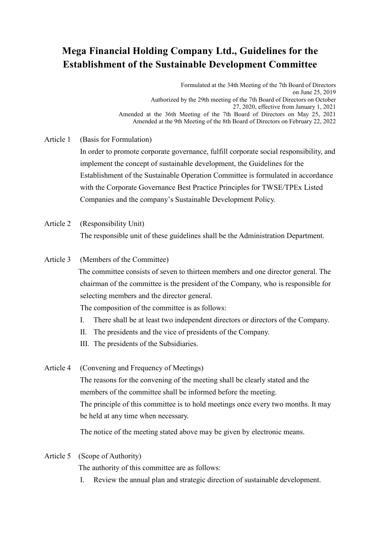## **Mega Financial Holding Company Ltd., Guidelines for the Establishment of the Sustainable Development Committee**

 Formulated at the 34th Meeting of the 7th Board of Directors on June 25, 2019 Authorized by the 29th meeting of the 7th Board of Directors on October 27, 2020, effective from January 1, 2021 Amended at the 36th Meeting of the 7th Board of Directors on May 25, 2021 Amended at the 9th Meeting of the 8th Board of Directors on February 22, 2022

Article 1 (Basis for Formulation)

In order to promote corporate governance, fulfill corporate social responsibility, and implement the concept of sustainable development, the Guidelines for the Establishment of the Sustainable Operation Committee is formulated in accordance with the Corporate Governance Best Practice Principles for TWSE/TPEx Listed Companies and the company's Sustainable Development Policy.

Article 2 (Responsibility Unit)

The responsible unit of these guidelines shall be the Administration Department.

Article 3 (Members of the Committee)

 The committee consists of seven to thirteen members and one director general. The chairman of the committee is the president of the Company, who is responsible for selecting members and the director general.

The composition of the committee is as follows:

- I. There shall be at least two independent directors or directors of the Company.
- II. The presidents and the vice of presidents of the Company.
- III. The presidents of the Subsidiaries.
- Article 4 (Convening and Frequency of Meetings)

The reasons for the convening of the meeting shall be clearly stated and the members of the committee shall be informed before the meeting. The principle of this committee is to hold meetings once every two months. It may be held at any time when necessary.

The notice of the meeting stated above may be given by electronic means.

### Article 5 (Scope of Authority)

The authority of this committee are as follows:

I. Review the annual plan and strategic direction of sustainable development.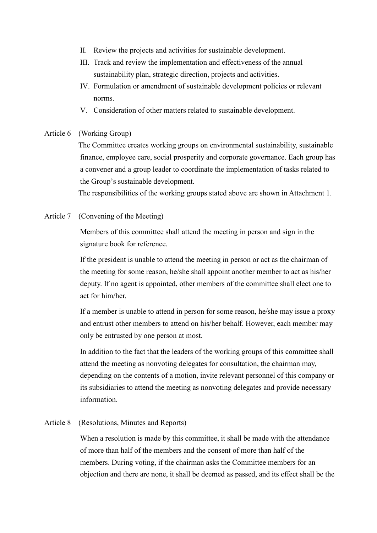- II. Review the projects and activities for sustainable development.
- III. Track and review the implementation and effectiveness of the annual sustainability plan, strategic direction, projects and activities.
- IV. Formulation or amendment of sustainable development policies or relevant norms.
- V. Consideration of other matters related to sustainable development.

#### Article 6 (Working Group)

 The Committee creates working groups on environmental sustainability, sustainable finance, employee care, social prosperity and corporate governance. Each group has a convener and a group leader to coordinate the implementation of tasks related to the Group's sustainable development.

The responsibilities of the working groups stated above are shown in Attachment 1.

Article 7 (Convening of the Meeting)

Members of this committee shall attend the meeting in person and sign in the signature book for reference.

If the president is unable to attend the meeting in person or act as the chairman of the meeting for some reason, he/she shall appoint another member to act as his/her deputy. If no agent is appointed, other members of the committee shall elect one to act for him/her.

If a member is unable to attend in person for some reason, he/she may issue a proxy and entrust other members to attend on his/her behalf. However, each member may only be entrusted by one person at most.

In addition to the fact that the leaders of the working groups of this committee shall attend the meeting as nonvoting delegates for consultation, the chairman may, depending on the contents of a motion, invite relevant personnel of this company or its subsidiaries to attend the meeting as nonvoting delegates and provide necessary information.

#### Article 8 (Resolutions, Minutes and Reports)

When a resolution is made by this committee, it shall be made with the attendance of more than half of the members and the consent of more than half of the members. During voting, if the chairman asks the Committee members for an objection and there are none, it shall be deemed as passed, and its effect shall be the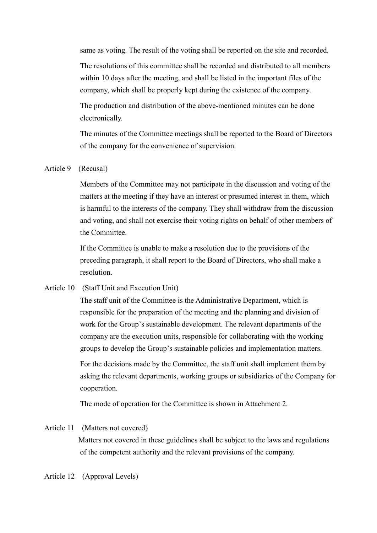same as voting. The result of the voting shall be reported on the site and recorded.

The resolutions of this committee shall be recorded and distributed to all members within 10 days after the meeting, and shall be listed in the important files of the company, which shall be properly kept during the existence of the company.

The production and distribution of the above-mentioned minutes can be done electronically.

The minutes of the Committee meetings shall be reported to the Board of Directors of the company for the convenience of supervision.

### Article 9 (Recusal)

Members of the Committee may not participate in the discussion and voting of the matters at the meeting if they have an interest or presumed interest in them, which is harmful to the interests of the company. They shall withdraw from the discussion and voting, and shall not exercise their voting rights on behalf of other members of the Committee.

If the Committee is unable to make a resolution due to the provisions of the preceding paragraph, it shall report to the Board of Directors, who shall make a resolution.

Article 10 (Staff Unit and Execution Unit)

The staff unit of the Committee is the Administrative Department, which is responsible for the preparation of the meeting and the planning and division of work for the Group's sustainable development. The relevant departments of the company are the execution units, responsible for collaborating with the working groups to develop the Group's sustainable policies and implementation matters.

For the decisions made by the Committee, the staff unit shall implement them by asking the relevant departments, working groups or subsidiaries of the Company for cooperation.

The mode of operation for the Committee is shown in Attachment 2.

#### Article 11 (Matters not covered)

 Matters not covered in these guidelines shall be subject to the laws and regulations of the competent authority and the relevant provisions of the company.

Article 12 (Approval Levels)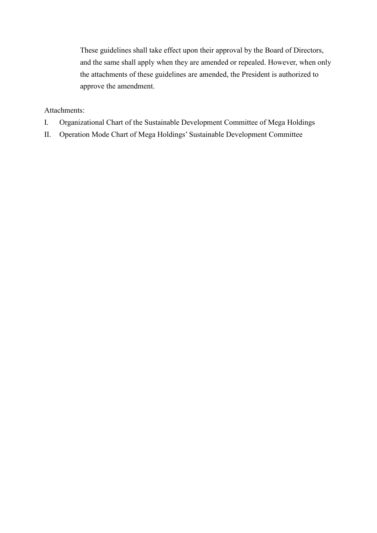These guidelines shall take effect upon their approval by the Board of Directors, and the same shall apply when they are amended or repealed. However, when only the attachments of these guidelines are amended, the President is authorized to approve the amendment.

### Attachments:

- I. Organizational Chart of the Sustainable Development Committee of Mega Holdings
- II. Operation Mode Chart of Mega Holdings' Sustainable Development Committee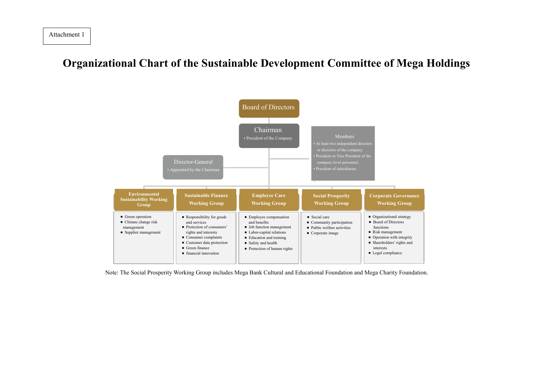# **Organizational Chart of the Sustainable Development Committee of Mega Holdings**

Attachment 1



Note: The Social Prosperity Working Group includes Mega Bank Cultural and Educational Foundation and Mega Charity Foundation.